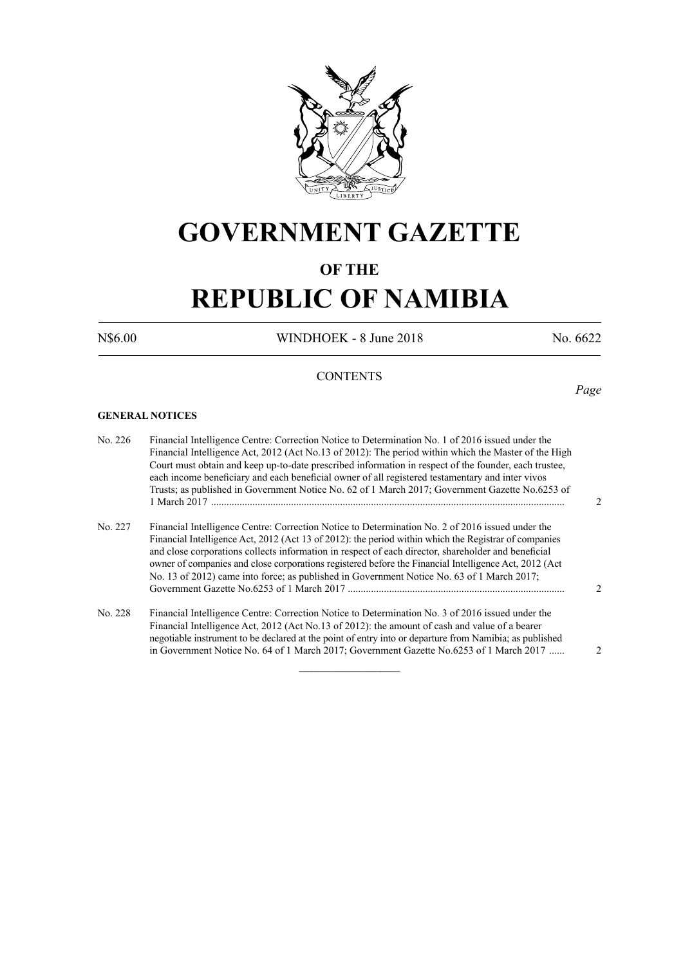

## **GOVERNMENT GAZETTE**

## **OF THE**

# **REPUBLIC OF NAMIBIA**

N\$6.00 WINDHOEK - 8 June 2018 No. 6622

*Page*

## **CONTENTS**

#### **GENERAL NOTICES**

| No. 226 | Financial Intelligence Centre: Correction Notice to Determination No. 1 of 2016 issued under the<br>Financial Intelligence Act, 2012 (Act No.13 of 2012): The period within which the Master of the High<br>Court must obtain and keep up-to-date prescribed information in respect of the founder, each trustee,<br>each income beneficiary and each beneficial owner of all registered testamentary and inter vivos<br>Trusts; as published in Government Notice No. 62 of 1 March 2017; Government Gazette No.6253 of |  |
|---------|--------------------------------------------------------------------------------------------------------------------------------------------------------------------------------------------------------------------------------------------------------------------------------------------------------------------------------------------------------------------------------------------------------------------------------------------------------------------------------------------------------------------------|--|
| No. 227 | Financial Intelligence Centre: Correction Notice to Determination No. 2 of 2016 issued under the<br>Financial Intelligence Act, 2012 (Act 13 of 2012): the period within which the Registrar of companies<br>and close corporations collects information in respect of each director, shareholder and beneficial<br>owner of companies and close corporations registered before the Financial Intelligence Act, 2012 (Act<br>No. 13 of 2012) came into force; as published in Government Notice No. 63 of 1 March 2017;  |  |
| No. 228 | Financial Intelligence Centre: Correction Notice to Determination No. 3 of 2016 issued under the<br>Financial Intelligence Act, 2012 (Act No.13 of 2012); the amount of cash and value of a bearer<br>negotiable instrument to be declared at the point of entry into or departure from Namibia; as published<br>in Government Notice No. 64 of 1 March 2017; Government Gazette No.6253 of 1 March 2017                                                                                                                 |  |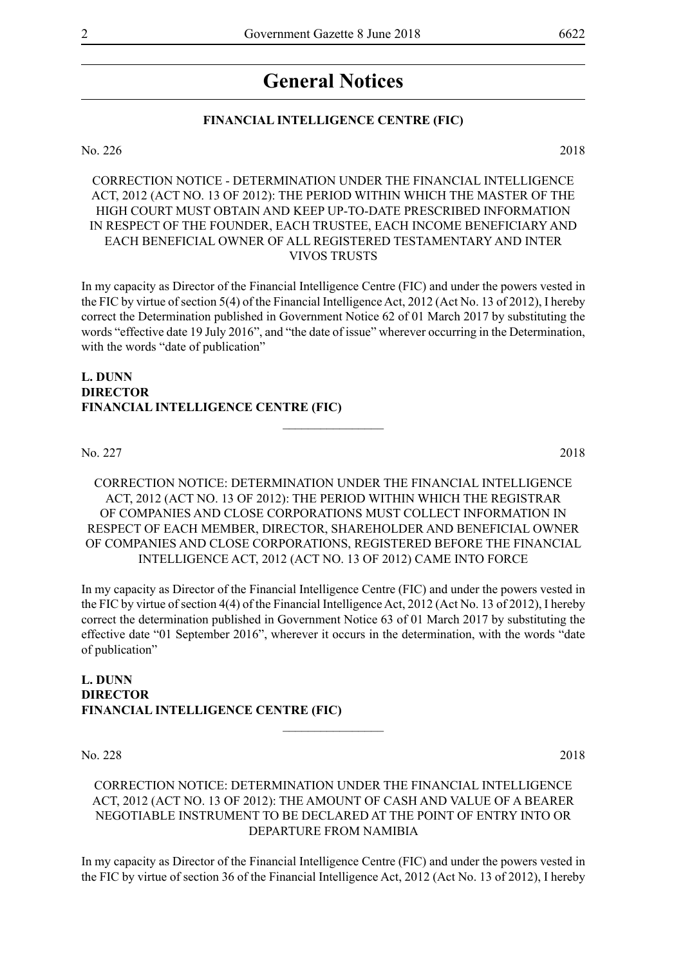## **General Notices**

## **FINANCIAL INTELLIGENCE CENTRE (FIC)**

No. 226 2018

CORRECTION NOTICE - DETERMINATION UNDER THE FINANCIAL INTELLIGENCE ACT, 2012 (ACT NO. 13 OF 2012): THE PERIOD WITHIN WHICH THE MASTER OF THE HIGH COURT MUST OBTAIN AND KEEP UP-TO-DATE PRESCRIBED INFORMATION IN RESPECT OF THE FOUNDER, EACH TRUSTEE, EACH INCOME BENEFICIARY AND EACH BENEFICIAL OWNER OF ALL REGISTERED TESTAMENTARY AND INTER VIVOS TRUSTS

In my capacity as Director of the Financial Intelligence Centre (FIC) and under the powers vested in the FIC by virtue of section 5(4) of the Financial Intelligence Act, 2012 (Act No. 13 of 2012), I hereby correct the Determination published in Government Notice 62 of 01 March 2017 by substituting the words "effective date 19 July 2016", and "the date of issue" wherever occurring in the Determination, with the words "date of publication"

## **L. Dunn DIRECTOR FINANCIAL INTELLIGENCE CENTRE (FIC)**

No. 227 2018

CORRECTION NOTICE: DETERMINATION UNDER THE FINANCIAL INTELLIGENCE ACT, 2012 (ACT NO. 13 OF 2012): THE PERIOD WITHIN WHICH THE REGISTRAR OF COMPANIES AND CLOSE CORPORATIONS MUST COLLECT INFORMATION IN RESPECT OF EACH MEMBER, DIRECTOR, SHAREHOLDER AND BENEFICIAL OWNER OF COMPANIES AND CLOSE CORPORATIONS, REGISTERED BEFORE THE FINANCIAL INTELLIGENCE ACT, 2012 (ACT NO. 13 OF 2012) CAME INTO FORCE

 $\overline{\phantom{a}}$  , where  $\overline{\phantom{a}}$ 

In my capacity as Director of the Financial Intelligence Centre (FIC) and under the powers vested in the FIC by virtue of section 4(4) of the Financial Intelligence Act, 2012 (Act No. 13 of 2012), I hereby correct the determination published in Government Notice 63 of 01 March 2017 by substituting the effective date "01 September 2016", wherever it occurs in the determination, with the words "date of publication"

### **L. Dunn DIRECTOR FINANCIAL INTELLIGENCE CENTRE (FIC)**  $\frac{1}{2}$

No. 228 2018

## CORRECTION NOTICE: DETERMINATION UNDER THE FINANCIAL INTELLIGENCE ACT, 2012 (ACT NO. 13 OF 2012): THE AMOUNT OF CASH AND VALUE OF A BEARER NEGOTIABLE INSTRUMENT TO BE DECLARED AT THE POINT OF ENTRY INTO OR DEPARTURE FROM NAMIBIA

In my capacity as Director of the Financial Intelligence Centre (FIC) and under the powers vested in the FIC by virtue of section 36 of the Financial Intelligence Act, 2012 (Act No. 13 of 2012), I hereby